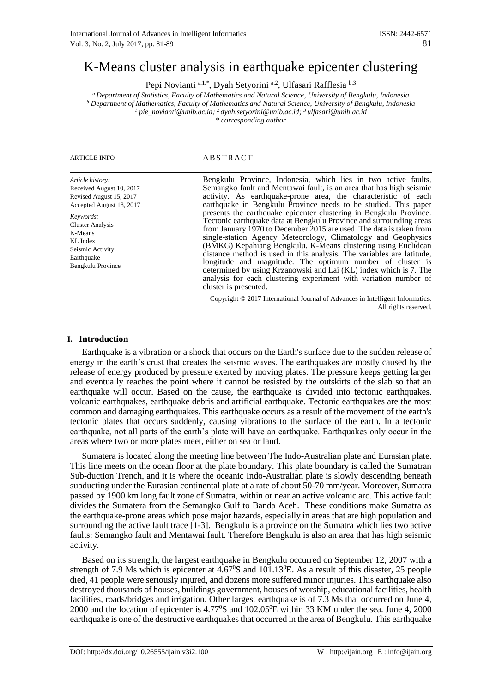# K-Means cluster analysis in earthquake epicenter clustering

Pepi Novianti a,1,\*, Dyah Setyorini a,2, Ulfasari Rafflesia b,3

*<sup>a</sup> Department of Statistics, Faculty of Mathematics and Natural Science, University of Bengkulu, Indonesia <sup>b</sup> Department of Mathematics, Faculty of Mathematics and Natural Science, University of Bengkulu, Indonesia <sup>1</sup> pie\_novianti@unib.ac.id; <sup>2</sup>dyah.setyorini@unib.ac.id; <sup>3</sup>ulfasari@unib.ac.id \* corresponding author*

*Article history:*

*Keywords:* Cluster Analysis K-Means KL Index Seismic Activity Earthquake Bengkulu Province

Received August 10, 2017 Revised August 15, 2017 Accepted August 18, 2017

## ARTICLE INFO ABSTRACT

Bengkulu Province, Indonesia, which lies in two active faults, Semangko fault and Mentawai fault, is an area that has high seismic activity. As earthquake-prone area, the characteristic of each earthquake in Bengkulu Province needs to be studied. This paper presents the earthquake epicenter clustering in Bengkulu Province. Tectonic earthquake data at Bengkulu Province and surrounding areas from January 1970 to December 2015 are used. The data is taken from single-station Agency Meteorology, Climatology and Geophysics (BMKG) Kepahiang Bengkulu. K-Means clustering using Euclidean distance method is used in this analysis. The variables are latitude, longitude and magnitude. The optimum number of cluster is determined by using Krzanowski and Lai (KL) index which is 7. The analysis for each clustering experiment with variation number of cluster is presented.

Copyright © 2017 International Journal of Advances in Intelligent Informatics. All rights reserved.

## **I. Introduction**

Earthquake is a vibration or a shock that occurs on the Earth's surface due to the sudden release of energy in the earth's crust that creates the seismic waves. The earthquakes are mostly caused by the release of energy produced by pressure exerted by moving plates. The pressure keeps getting larger and eventually reaches the point where it cannot be resisted by the outskirts of the slab so that an earthquake will occur. Based on the cause, the earthquake is divided into tectonic earthquakes, volcanic earthquakes, earthquake debris and artificial earthquake. Tectonic earthquakes are the most common and damaging earthquakes. This earthquake occurs as a result of the movement of the earth's tectonic plates that occurs suddenly, causing vibrations to the surface of the earth. In a tectonic earthquake, not all parts of the earth's plate will have an earthquake. Earthquakes only occur in the areas where two or more plates meet, either on sea or land.

Sumatera is located along the meeting line between The Indo-Australian plate and Eurasian plate. This line meets on the ocean floor at the plate boundary. This plate boundary is called the Sumatran Sub-duction Trench, and it is where the oceanic Indo-Australian plate is slowly descending beneath subducting under the Eurasian continental plate at a rate of about 50-70 mm/year. Moreover, Sumatra passed by 1900 km long fault zone of Sumatra, within or near an active volcanic arc. This active fault divides the Sumatera from the Semangko Gulf to Banda Aceh. These conditions make Sumatra as the earthquake-prone areas which pose major hazards, especially in areas that are high population and surrounding the active fault trace [1-3]. Bengkulu is a province on the Sumatra which lies two active faults: Semangko fault and Mentawai fault. Therefore Bengkulu is also an area that has high seismic activity.

Based on its strength, the largest earthquake in Bengkulu occurred on September 12, 2007 with a strength of 7.9 Ms which is epicenter at  $4.67\%$  and  $101.13\%$ . As a result of this disaster, 25 people died, 41 people were seriously injured, and dozens more suffered minor injuries. This earthquake also destroyed thousands of houses, buildings government, houses of worship, educational facilities, health facilities, roads/bridges and irrigation. Other largest earthquake is of 7.3 Ms that occurred on June 4, 2000 and the location of epicenter is 4.77<sup>0</sup>S and 102.05<sup>0</sup>E within 33 KM under the sea. June 4, 2000 earthquake is one of the destructive earthquakes that occurred in the area of Bengkulu. This earthquake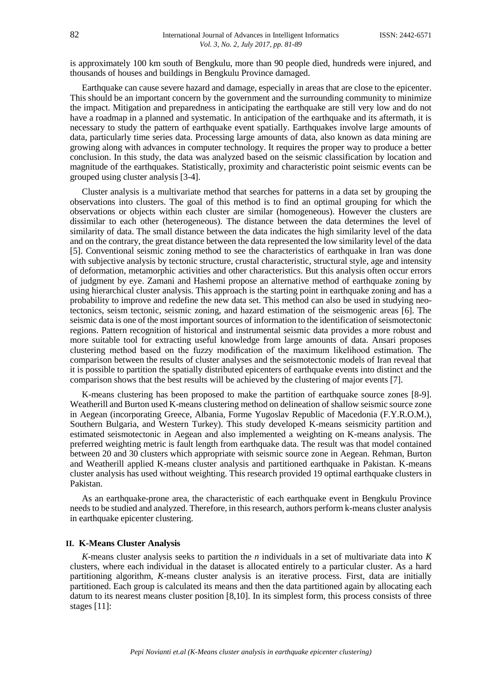is approximately 100 km south of Bengkulu, more than 90 people died, hundreds were injured, and thousands of houses and buildings in Bengkulu Province damaged.

Earthquake can cause severe hazard and damage, especially in areas that are close to the epicenter. This should be an important concern by the government and the surrounding community to minimize the impact. Mitigation and preparedness in anticipating the earthquake are still very low and do not have a roadmap in a planned and systematic. In anticipation of the earthquake and its aftermath, it is necessary to study the pattern of earthquake event spatially. Earthquakes involve large amounts of data, particularly time series data. Processing large amounts of data, also known as data mining are growing along with advances in computer technology. It requires the proper way to produce a better conclusion. In this study, the data was analyzed based on the seismic classification by location and magnitude of the earthquakes. Statistically, proximity and characteristic point seismic events can be grouped using cluster analysis [3-4].

Cluster analysis is a multivariate method that searches for patterns in a data set by grouping the observations into clusters. The goal of this method is to find an optimal grouping for which the observations or objects within each cluster are similar (homogeneous). However the clusters are dissimilar to each other (heterogeneous). The distance between the data determines the level of similarity of data. The small distance between the data indicates the high similarity level of the data and on the contrary, the great distance between the data represented the low similarity level of the data [5]. Conventional seismic zoning method to see the characteristics of earthquake in Iran was done with subjective analysis by tectonic structure, crustal characteristic, structural style, age and intensity of deformation, metamorphic activities and other characteristics. But this analysis often occur errors of judgment by eye. Zamani and Hashemi propose an alternative method of earthquake zoning by using hierarchical cluster analysis. This approach is the starting point in earthquake zoning and has a probability to improve and redefine the new data set. This method can also be used in studying neotectonics, seism tectonic, seismic zoning, and hazard estimation of the seismogenic areas [6]. The seismic data is one of the most important sources of information to the identification of seismotectonic regions. Pattern recognition of historical and instrumental seismic data provides a more robust and more suitable tool for extracting useful knowledge from large amounts of data. Ansari proposes clustering method based on the fuzzy modification of the maximum likelihood estimation. The comparison between the results of cluster analyses and the seismotectonic models of Iran reveal that it is possible to partition the spatially distributed epicenters of earthquake events into distinct and the comparison shows that the best results will be achieved by the clustering of major events [7].

K-means clustering has been proposed to make the partition of earthquake source zones [8-9]. Weatherill and Burton used K-means clustering method on delineation of shallow seismic source zone in Aegean (incorporating Greece, Albania, Forme Yugoslav Republic of Macedonia (F.Y.R.O.M.), Southern Bulgaria, and Western Turkey). This study developed K-means seismicity partition and estimated seismotectonic in Aegean and also implemented a weighting on K-means analysis. The preferred weighting metric is fault length from earthquake data. The result was that model contained between 20 and 30 clusters which appropriate with seismic source zone in Aegean. Rehman, Burton and Weatherill applied K-means cluster analysis and partitioned earthquake in Pakistan. K-means cluster analysis has used without weighting. This research provided 19 optimal earthquake clusters in Pakistan.

As an earthquake-prone area, the characteristic of each earthquake event in Bengkulu Province needs to be studied and analyzed. Therefore, in this research, authors perform k-means cluster analysis in earthquake epicenter clustering.

#### **II. K-Means Cluster Analysis**

*K*-means cluster analysis seeks to partition the *n* individuals in a set of multivariate data into *K* clusters, where each individual in the dataset is allocated entirely to a particular cluster. As a hard partitioning algorithm, *K*-means cluster analysis is an iterative process. First, data are initially partitioned. Each group is calculated its means and then the data partitioned again by allocating each datum to its nearest means cluster position [8,10]. In its simplest form, this process consists of three stages [11]: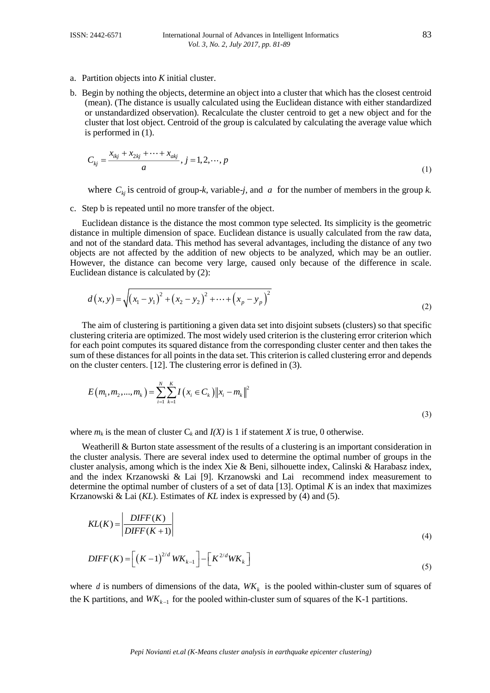- a. Partition objects into *K* initial cluster.
- b. Begin by nothing the objects, determine an object into a cluster that which has the closest centroid (mean). (The distance is usually calculated using the Euclidean distance with either standardized or unstandardized observation). Recalculate the cluster centroid to get a new object and for the cluster that lost object. Centroid of the group is calculated by calculating the average value which is performed in (1).

$$
C_{kj} = \frac{x_{ikj} + x_{2kj} + \dots + x_{akj}}{a}, j = 1, 2, \dots, p
$$
\n(1)

where  $C_{kj}$  is centroid of group-*k*, variable-*j*, and *a* for the number of members in the group *k*.

c. Step b is repeated until no more transfer of the object.

Euclidean distance is the distance the most common type selected. Its simplicity is the geometric distance in multiple dimension of space. Euclidean distance is usually calculated from the raw data, and not of the standard data. This method has several advantages, including the distance of any two objects are not affected by the addition of new objects to be analyzed, which may be an outlier. However, the distance can become very large, caused only because of the difference in scale. Euclidean distance is calculated by (2):

$$
d(x, y) = \sqrt{(x_1 - y_1)^2 + (x_2 - y_2)^2 + \dots + (x_p - y_p)^2}
$$
\n(2)

The aim of clustering is partitioning a given data set into disjoint subsets (clusters) so that specific clustering criteria are optimized. The most widely used criterion is the clustering error criterion which for each point computes its squared distance from the corresponding cluster center and then takes the sum of these distances for all points in the data set. This criterion is called clustering error and depends on the cluster centers. [12]. The clustering error is defined in (3).

$$
E(m_1, m_2, ..., m_k) = \sum_{i=1}^{N} \sum_{k=1}^{K} I(x_i \in C_k) \|x_i - m_k\|^2
$$
\n(3)

where  $m_k$  is the mean of cluster  $C_k$  and  $I(X)$  is 1 if statement *X* is true, 0 otherwise.

Weatherill & Burton state assessment of the results of a clustering is an important consideration in the cluster analysis. There are several index used to determine the optimal number of groups in the cluster analysis, among which is the index Xie & Beni, silhouette index, Calinski & Harabasz index, and the index Krzanowski & Lai [9]. Krzanowski and Lai recommend index measurement to determine the optimal number of clusters of a set of data [13]. Optimal *K* is an index that maximizes Krzanowski & Lai (*KL*). Estimates of *KL* index is expressed by (4) and (5).

$$
KL(K) = \left| \frac{DIFF(K)}{DIFF(K+1)} \right| \tag{4}
$$

$$
DIFF(K) = \left[ \left( K - 1 \right)^{2/d} W K_{k-1} \right] - \left[ K^{2/d} W K_k \right] \tag{5}
$$

where *d* is numbers of dimensions of the data,  $WK_k$  is the pooled within-cluster sum of squares of the K partitions, and  $WK_{k-1}$  for the pooled within-cluster sum of squares of the K-1 partitions.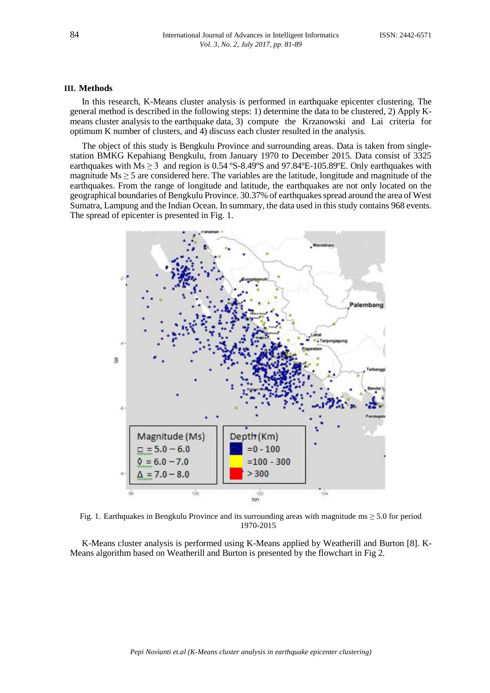#### **III. Methods**

In this research, K-Means cluster analysis is performed in earthquake epicenter clustering. The general method is described in the following steps: 1) determine the data to be clustered, 2) Apply Kmeans cluster analysis to the earthquake data, 3) compute the Krzanowski and Lai criteria for optimum K number of clusters, and 4) discuss each cluster resulted in the analysis.

The object of this study is Bengkulu Province and surrounding areas. Data is taken from singlestation BMKG Kepahiang Bengkulu, from January 1970 to December 2015. Data consist of 3325 earthquakes with  $Ms \ge 3$  and region is 0.54 °S-8.49°S and 97.84°E-105.89°E. Only earthquakes with magnitude  $Ms \ge 5$  are considered here. The variables are the latitude, longitude and magnitude of the earthquakes. From the range of longitude and latitude, the earthquakes are not only located on the geographical boundaries of Bengkulu Province. 30.37% of earthquakes spread around the area of West Sumatra, Lampung and the Indian Ocean. In summary, the data used in this study contains 968 events. The spread of epicenter is presented in Fig. 1.



Fig. 1. Earthquakes in Bengkulu Province and its surrounding areas with magnitude ms ≥ 5.0 for period 1970-2015

K-Means cluster analysis is performed using K-Means applied by Weatherill and Burton [8]. K-Means algorithm based on Weatherill and Burton is presented by the flowchart in Fig 2.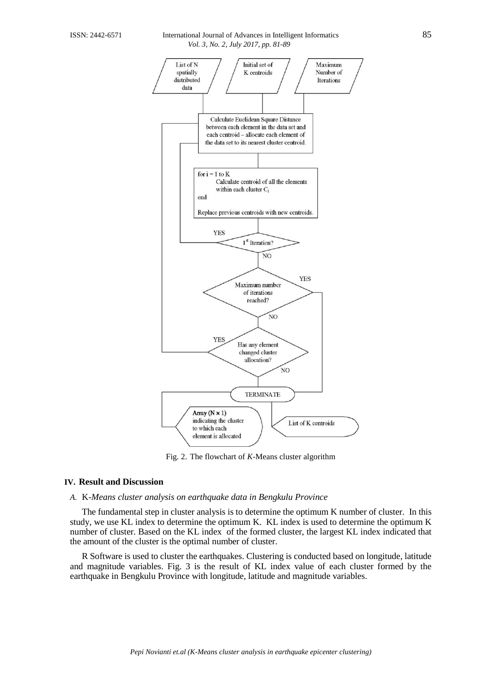#### ISSN: 2442-6571 International Journal of Advances in Intelligent Informatics 85 *Vol. 3, No. 2, July 2017, pp. 81-89*



Fig. 2. The flowchart of *K*-Means cluster algorithm

## **IV. Result and Discussion**

#### *A.* K*-Means cluster analysis on earthquake data in Bengkulu Province*

The fundamental step in cluster analysis is to determine the optimum K number of cluster. In this study, we use KL index to determine the optimum K. KL index is used to determine the optimum K number of cluster. Based on the KL index of the formed cluster, the largest KL index indicated that the amount of the cluster is the optimal number of cluster.

R Software is used to cluster the earthquakes. Clustering is conducted based on longitude, latitude and magnitude variables. Fig. 3 is the result of KL index value of each cluster formed by the earthquake in Bengkulu Province with longitude, latitude and magnitude variables.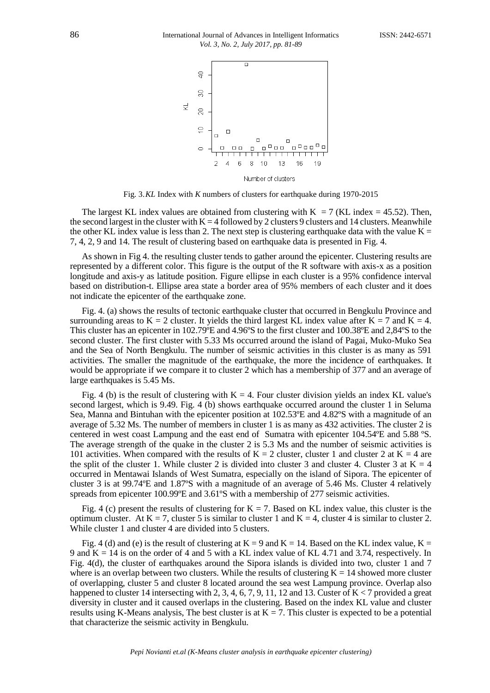

Fig. 3.*KL* Index with *K* numbers of clusters for earthquake during 1970-2015

The largest KL index values are obtained from clustering with  $K = 7$  (KL index = 45.52). Then, the second largest in the cluster with  $K = 4$  followed by 2 clusters 9 clusters and 14 clusters. Meanwhile the other KL index value is less than 2. The next step is clustering earthquake data with the value  $K =$ 7, 4, 2, 9 and 14. The result of clustering based on earthquake data is presented in Fig. 4.

As shown in Fig 4. the resulting cluster tends to gather around the epicenter. Clustering results are represented by a different color. This figure is the output of the R software with axis-x as a position longitude and axis-y as latitude position. Figure ellipse in each cluster is a 95% confidence interval based on distribution-t. Ellipse area state a border area of 95% members of each cluster and it does not indicate the epicenter of the earthquake zone.

Fig. 4. (a) shows the results of tectonic earthquake cluster that occurred in Bengkulu Province and surrounding areas to  $K = 2$  cluster. It yields the third largest KL index value after  $K = 7$  and  $K = 4$ . This cluster has an epicenter in 102.79ºE and 4.96ºS to the first cluster and 100.38ºE and 2,84ºS to the second cluster. The first cluster with 5.33 Ms occurred around the island of Pagai, Muko-Muko Sea and the Sea of North Bengkulu. The number of seismic activities in this cluster is as many as 591 activities. The smaller the magnitude of the earthquake, the more the incidence of earthquakes. It would be appropriate if we compare it to cluster 2 which has a membership of 377 and an average of large earthquakes is 5.45 Ms.

Fig. 4 (b) is the result of clustering with  $K = 4$ . Four cluster division yields an index KL value's second largest, which is 9.49. Fig. 4 (b) shows earthquake occurred around the cluster 1 in Seluma Sea, Manna and Bintuhan with the epicenter position at 102.53ºE and 4.82ºS with a magnitude of an average of 5.32 Ms. The number of members in cluster 1 is as many as 432 activities. The cluster 2 is centered in west coast Lampung and the east end of Sumatra with epicenter 104.54ºE and 5.88 ºS. The average strength of the quake in the cluster 2 is 5.3 Ms and the number of seismic activities is 101 activities. When compared with the results of  $K = 2$  cluster, cluster 1 and cluster 2 at  $K = 4$  are the split of the cluster 1. While cluster 2 is divided into cluster 3 and cluster 4. Cluster 3 at  $K = 4$ occurred in Mentawai Islands of West Sumatra, especially on the island of Sipora. The epicenter of cluster 3 is at 99.74ºE and 1.87ºS with a magnitude of an average of 5.46 Ms. Cluster 4 relatively spreads from epicenter 100.99°E and 3.61°S with a membership of 277 seismic activities.

Fig. 4 (c) present the results of clustering for  $K = 7$ . Based on KL index value, this cluster is the optimum cluster. At  $K = 7$ , cluster 5 is similar to cluster 1 and  $K = 4$ , cluster 4 is similar to cluster 2. While cluster 1 and cluster 4 are divided into 5 clusters.

Fig. 4 (d) and (e) is the result of clustering at  $K = 9$  and  $K = 14$ . Based on the KL index value,  $K =$ 9 and  $K = 14$  is on the order of 4 and 5 with a KL index value of KL 4.71 and 3.74, respectively. In Fig. 4(d), the cluster of earthquakes around the Sipora islands is divided into two, cluster 1 and 7 where is an overlap between two clusters. While the results of clustering  $K = 14$  showed more cluster of overlapping, cluster 5 and cluster 8 located around the sea west Lampung province. Overlap also happened to cluster 14 intersecting with 2, 3, 4, 6, 7, 9, 11, 12 and 13. Custer of K < 7 provided a great diversity in cluster and it caused overlaps in the clustering. Based on the index KL value and cluster results using K-Means analysis, The best cluster is at  $K = 7$ . This cluster is expected to be a potential that characterize the seismic activity in Bengkulu.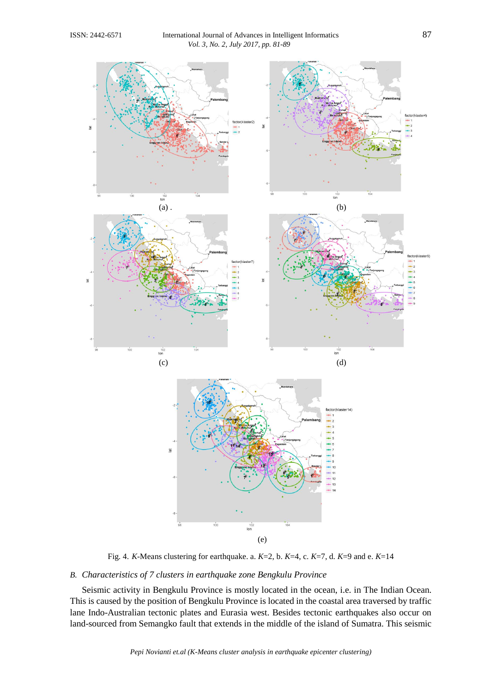

Fig. 4. *K*-Means clustering for earthquake. a. *K*=2, b. *K*=4, c. *K*=7, d. *K*=9 and e. *K*=14

## *B. Characteristics of 7 clusters in earthquake zone Bengkulu Province*

Seismic activity in Bengkulu Province is mostly located in the ocean, i.e. in The Indian Ocean. This is caused by the position of Bengkulu Province is located in the coastal area traversed by traffic lane Indo-Australian tectonic plates and Eurasia west. Besides tectonic earthquakes also occur on land-sourced from Semangko fault that extends in the middle of the island of Sumatra. This seismic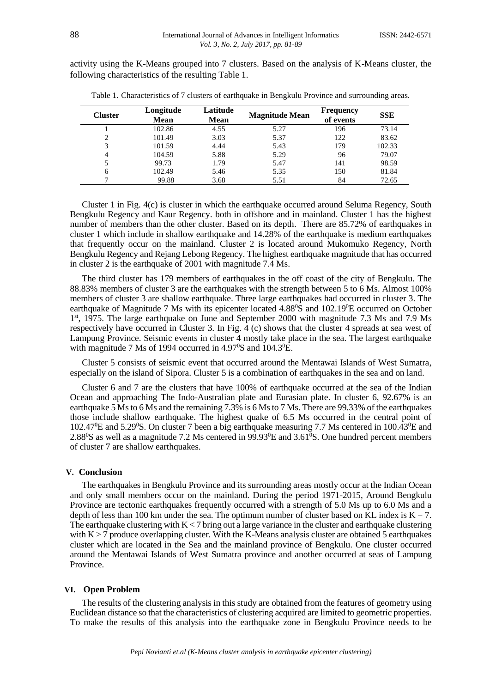activity using the K-Means grouped into 7 clusters. Based on the analysis of K-Means cluster, the following characteristics of the resulting Table 1.

| <b>Cluster</b> | Longitude<br><b>Mean</b> | Latitude<br><b>Mean</b> | <b>Magnitude Mean</b> | <b>Frequency</b><br>of events | <b>SSE</b> |
|----------------|--------------------------|-------------------------|-----------------------|-------------------------------|------------|
|                | 102.86                   | 4.55                    | 5.27                  | 196                           | 73.14      |
| 2              | 101.49                   | 3.03                    | 5.37                  | 122                           | 83.62      |
| 3              | 101.59                   | 4.44                    | 5.43                  | 179                           | 102.33     |
| 4              | 104.59                   | 5.88                    | 5.29                  | 96                            | 79.07      |
|                | 99.73                    | 1.79                    | 5.47                  | 141                           | 98.59      |
| 6              | 102.49                   | 5.46                    | 5.35                  | 150                           | 81.84      |
|                | 99.88                    | 3.68                    | 5.51                  | 84                            | 72.65      |

Table 1. Characteristics of 7 clusters of earthquake in Bengkulu Province and surrounding areas.

Cluster 1 in Fig. 4(c) is cluster in which the earthquake occurred around Seluma Regency, South Bengkulu Regency and Kaur Regency. both in offshore and in mainland. Cluster 1 has the highest number of members than the other cluster. Based on its depth. There are 85.72% of earthquakes in cluster 1 which include in shallow earthquake and 14.28% of the earthquake is medium earthquakes that frequently occur on the mainland. Cluster 2 is located around Mukomuko Regency, North Bengkulu Regency and Rejang Lebong Regency. The highest earthquake magnitude that has occurred in cluster 2 is the earthquake of 2001 with magnitude 7.4 Ms.

The third cluster has 179 members of earthquakes in the off coast of the city of Bengkulu. The 88.83% members of cluster 3 are the earthquakes with the strength between 5 to 6 Ms. Almost 100% members of cluster 3 are shallow earthquake. Three large earthquakes had occurred in cluster 3. The earthquake of Magnitude 7 Ms with its epicenter located 4.88<sup>0</sup>S and 102.19<sup>0</sup>E occurred on October 1<sup>st</sup>, 1975. The large earthquake on June and September 2000 with magnitude 7.3 Ms and 7.9 Ms respectively have occurred in Cluster 3. In Fig. 4 (c) shows that the cluster 4 spreads at sea west of Lampung Province. Seismic events in cluster 4 mostly take place in the sea. The largest earthquake with magnitude 7 Ms of 1994 occurred in  $4.97^{\circ}$ S and 104.3<sup>o</sup>E.

Cluster 5 consists of seismic event that occurred around the Mentawai Islands of West Sumatra, especially on the island of Sipora. Cluster 5 is a combination of earthquakes in the sea and on land.

Cluster 6 and 7 are the clusters that have 100% of earthquake occurred at the sea of the Indian Ocean and approaching The Indo-Australian plate and Eurasian plate. In cluster 6, 92.67% is an earthquake 5 Ms to 6 Ms and the remaining 7.3% is 6 Ms to 7 Ms. There are 99.33% of the earthquakes those include shallow earthquake. The highest quake of 6.5 Ms occurred in the central point of  $102.47^{\circ}$ E and  $5.29^{\circ}$ S. On cluster 7 been a big earthquake measuring 7.7 Ms centered in  $100.43^{\circ}$ E and 2.88 $\degree$ S as well as a magnitude 7.2 Ms centered in 99.93 $\degree$ E and 3.61 $\degree$ S. One hundred percent members of cluster 7 are shallow earthquakes.

## **V. Conclusion**

The earthquakes in Bengkulu Province and its surrounding areas mostly occur at the Indian Ocean and only small members occur on the mainland. During the period 1971-2015, Around Bengkulu Province are tectonic earthquakes frequently occurred with a strength of 5.0 Ms up to 6.0 Ms and a depth of less than 100 km under the sea. The optimum number of cluster based on KL index is  $K = 7$ . The earthquake clustering with  $K < 7$  bring out a large variance in the cluster and earthquake clustering with  $K > 7$  produce overlapping cluster. With the K-Means analysis cluster are obtained 5 earthquakes cluster which are located in the Sea and the mainland province of Bengkulu. One cluster occurred around the Mentawai Islands of West Sumatra province and another occurred at seas of Lampung Province.

### **VI. Open Problem**

The results of the clustering analysis in this study are obtained from the features of geometry using Euclidean distance so that the characteristics of clustering acquired are limited to geometric properties. To make the results of this analysis into the earthquake zone in Bengkulu Province needs to be